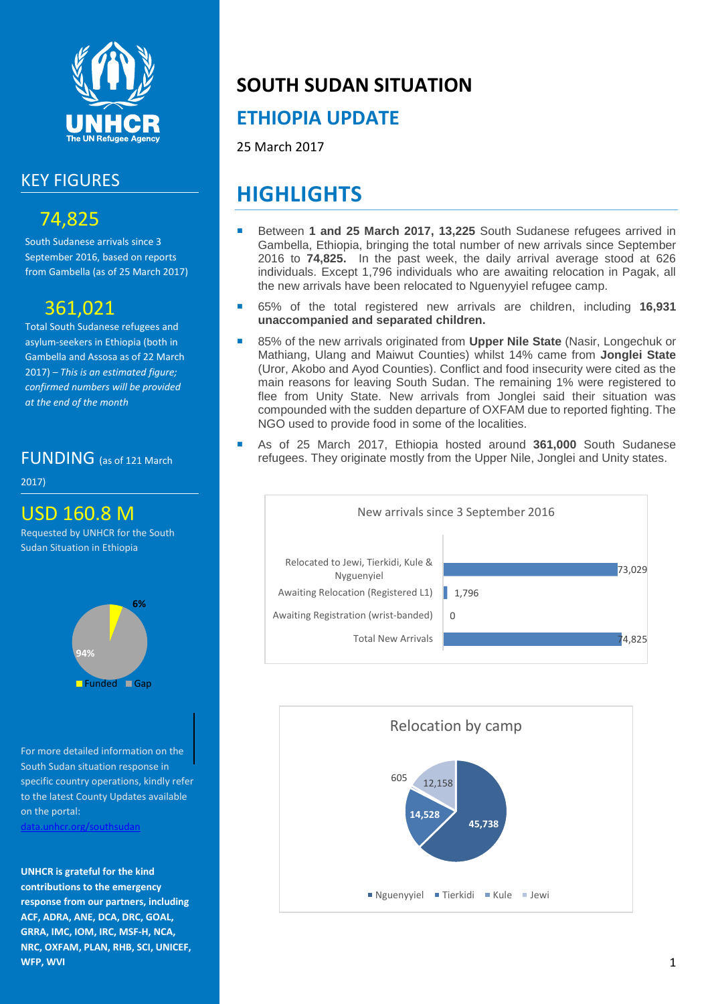

#### KEY FIGURES

### 74,825

South Sudanese arrivals since 3 September 2016, based on reports from Gambella (as of 25 March 2017)

### 361,021

Total South Sudanese refugees and asylum-seekers in Ethiopia (both in Gambella and Assosa as of 22 March 2017) *– This is an estimated figure; confirmed numbers will be provided at the end of the month*

#### FUNDING (as of 121 March

2017)

#### USD 160.8 M

Requested by UNHCR for the South Sudan Situation in Ethiopia



For more detailed information on the South Sudan situation response in specific country operations, kindly refer to the latest County Updates available on the portal: [data.unhcr.org/southsudan](http://data.unhcr.org/SouthSudan/regional.php)

**UNHCR is grateful for the kind contributions to the emergency response from our partners, including ACF, ADRA, ANE, DCA, DRC, GOAL, GRRA, IMC, IOM, IRC, MSF-H, NCA, NRC, OXFAM, PLAN, RHB, SCI, UNICEF, WFP, WVI**

## **SOUTH SUDAN SITUATION**

## **ETHIOPIA UPDATE**

25 March 2017

# **HIGHLIGHTS**

- Between **1 and 25 March 2017, 13,225** South Sudanese refugees arrived in Gambella, Ethiopia, bringing the total number of new arrivals since September 2016 to **74,825.** In the past week, the daily arrival average stood at 626 individuals. Except 1,796 individuals who are awaiting relocation in Pagak, all the new arrivals have been relocated to Nguenyyiel refugee camp.
- 65% of the total registered new arrivals are children, including **16,931 unaccompanied and separated children.**
- 85% of the new arrivals originated from **Upper Nile State** (Nasir, Longechuk or Mathiang, Ulang and Maiwut Counties) whilst 14% came from **Jonglei State** (Uror, Akobo and Ayod Counties). Conflict and food insecurity were cited as the main reasons for leaving South Sudan. The remaining 1% were registered to flee from Unity State. New arrivals from Jonglei said their situation was compounded with the sudden departure of OXFAM due to reported fighting. The NGO used to provide food in some of the localities.
- As of 25 March 2017, Ethiopia hosted around **361,000** South Sudanese refugees. They originate mostly from the Upper Nile, Jonglei and Unity states.